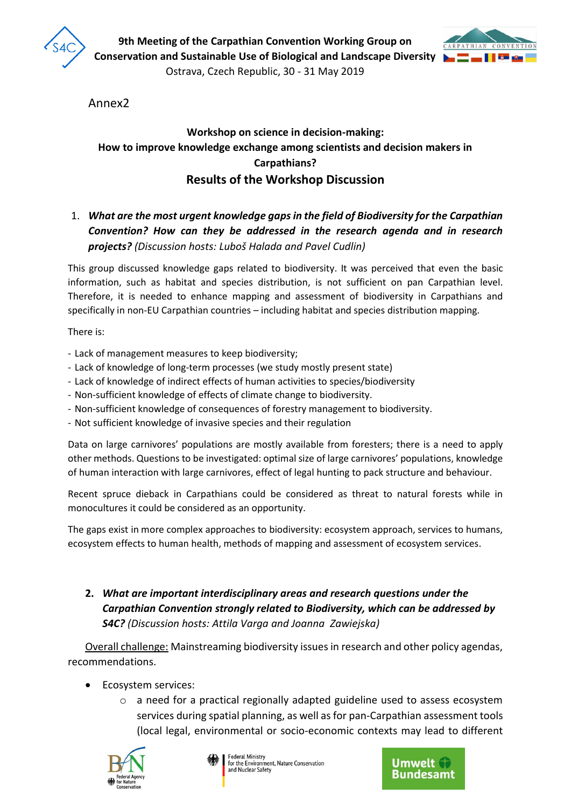

**9th Meeting of the Carpathian Convention Working Group on Conservation and Sustainable Use of Biological and Landscape Diversity** Ostrava, Czech Republic, 30 - 31 May 2019



Annex2

## **Workshop on science in decision-making: How to improve knowledge exchange among scientists and decision makers in Carpathians? Results of the Workshop Discussion**

## 1. *What are the most urgent knowledge gaps in the field of Biodiversity for the Carpathian Convention? How can they be addressed in the research agenda and in research projects? (Discussion hosts: Luboš Halada and Pavel Cudlin)*

This group discussed knowledge gaps related to biodiversity. It was perceived that even the basic information, such as habitat and species distribution, is not sufficient on pan Carpathian level. Therefore, it is needed to enhance mapping and assessment of biodiversity in Carpathians and specifically in non-EU Carpathian countries – including habitat and species distribution mapping.

There is:

- Lack of management measures to keep biodiversity;
- Lack of knowledge of long-term processes (we study mostly present state)
- Lack of knowledge of indirect effects of human activities to species/biodiversity
- Non-sufficient knowledge of effects of climate change to biodiversity.
- Non-sufficient knowledge of consequences of forestry management to biodiversity.
- Not sufficient knowledge of invasive species and their regulation

Data on large carnivores' populations are mostly available from foresters; there is a need to apply other methods. Questions to be investigated: optimal size of large carnivores' populations, knowledge of human interaction with large carnivores, effect of legal hunting to pack structure and behaviour.

Recent spruce dieback in Carpathians could be considered as threat to natural forests while in monocultures it could be considered as an opportunity.

The gaps exist in more complex approaches to biodiversity: ecosystem approach, services to humans, ecosystem effects to human health, methods of mapping and assessment of ecosystem services.

**2.** *What are important interdisciplinary areas and research questions under the Carpathian Convention strongly related to Biodiversity, which can be addressed by S4C? (Discussion hosts: Attila Varga and Joanna Zawiejska)*

Overall challenge: Mainstreaming biodiversity issues in research and other policy agendas, recommendations.

- Ecosystem services:
	- $\circ$  a need for a practical regionally adapted guideline used to assess ecosystem services during spatial planning, as well as for pan-Carpathian assessment tools (local legal, environmental or socio-economic contexts may lead to different





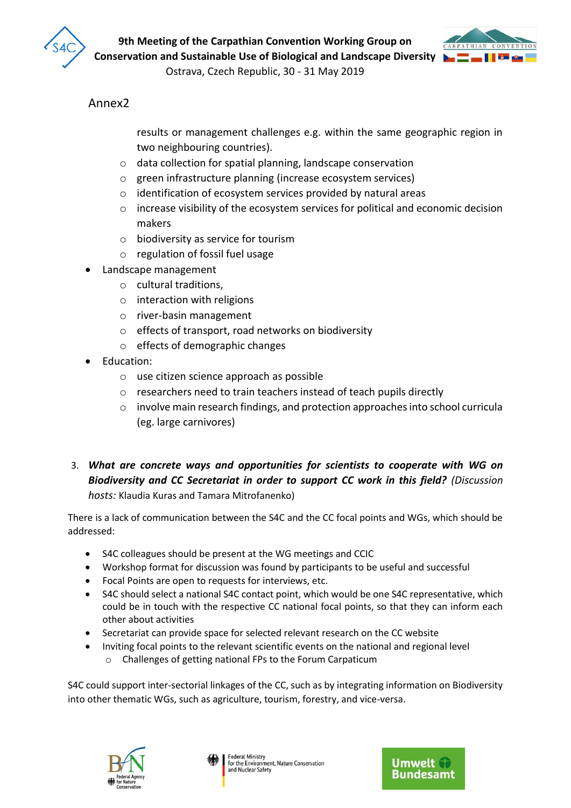



Ostrava, Czech Republic, 30 - 31 May 2019

## Annex2

results or management challenges e.g. within the same geographic region in two neighbouring countries).

- o data collection for spatial planning, landscape conservation
- o green infrastructure planning (increase ecosystem services)
- o identification of ecosystem services provided by natural areas
- o increase visibility of the ecosystem services for political and economic decision makers
- o biodiversity as service for tourism
- o regulation of fossil fuel usage
- Landscape management
	- o cultural traditions,
	- o interaction with religions
	- o river-basin management
	- o effects of transport, road networks on biodiversity
	- o effects of demographic changes
- Education:
	- o use citizen science approach as possible
	- o researchers need to train teachers instead of teach pupils directly
	- o involve main research findings, and protection approaches into school curricula (eg. large carnivores)
- 3. *What are concrete ways and opportunities for scientists to cooperate with WG on Biodiversity and CC Secretariat in order to support CC work in this field? (Discussion hosts:* Klaudia Kuras and Tamara Mitrofanenko)

There is a lack of communication between the S4C and the CC focal points and WGs, which should be addressed:

- S4C colleagues should be present at the WG meetings and CCIC
- Workshop format for discussion was found by participants to be useful and successful
- Focal Points are open to requests for interviews, etc.
- S4C should select a national S4C contact point, which would be one S4C representative, which could be in touch with the respective CC national focal points, so that they can inform each other about activities
- Secretariat can provide space for selected relevant research on the CC website
- Inviting focal points to the relevant scientific events on the national and regional level o Challenges of getting national FPs to the Forum Carpaticum

S4C could support inter-sectorial linkages of the CC, such as by integrating information on Biodiversity into other thematic WGs, such as agriculture, tourism, forestry, and vice-versa.